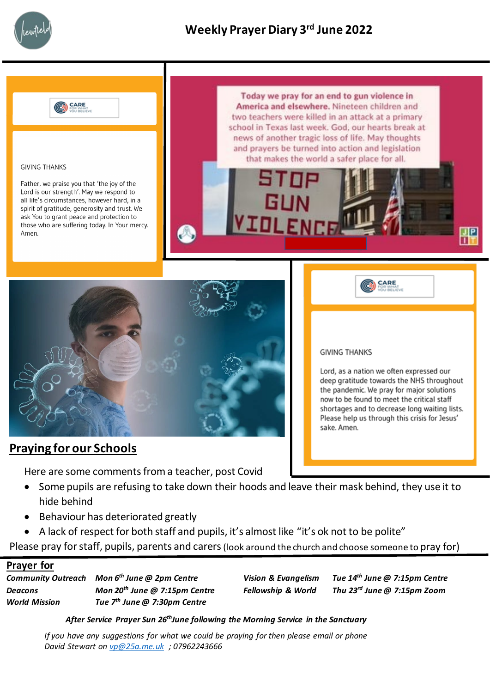



#### **GIVING THANKS**

Father, we praise you that 'the joy of the Lord is our strength'. May we respond to all life's circumstances, however hard, in a spirit of gratitude, generosity and trust. We ask You to grant peace and protection to those who are suffering today. In Your mercy. Amen.

Today we pray for an end to gun violence in America and elsewhere. Nineteen children and two teachers were killed in an attack at a primary school in Texas last week. God, our hearts break at news of another tragic loss of life. May thoughts and prayers be turned into action and legislation that makes the world a safer place for all.



### **Praying for our Schools**

Here are some comments from a teacher, post Covid

- Some pupils are refusing to take down their hoods and leave their mask behind, they use it to hide behind
- Behaviour has deteriorated greatly
- A lack of respect for both staff and pupils, it's almost like "it's ok not to be polite"

Please pray for staff, pupils, parents and carers (look around the church and choose someone to pray for)

### **Prayer for**

*Community Outreach Mon 6th June @ 2pm Centre Vision & Evangelism Tue 14th June @ 7:15pm Centre Deacons Mon 20th June @ 7:15pm Centre Fellowship & World Thu 23rd June @ 7:15pm Zoom World Mission Tue 7th June @ 7:30pm Centre*

*After Service Prayer Sun 26thJune following the Morning Service in the Sanctuary*

*If you have any suggestions for what we could be praying for then please email or phone David Stewart on [vp@25a.me.uk](mailto:vp@25a.me.uk) ; 07962243666*

#### **GIVING THANKS**

Lord, as a nation we often expressed our deep gratitude towards the NHS throughout the pandemic. We pray for major solutions now to be found to meet the critical staff shortages and to decrease long waiting lists. Please help us through this crisis for Jesus' sake. Amen.

**CARE** 

 $J|P$ 

Пŀ